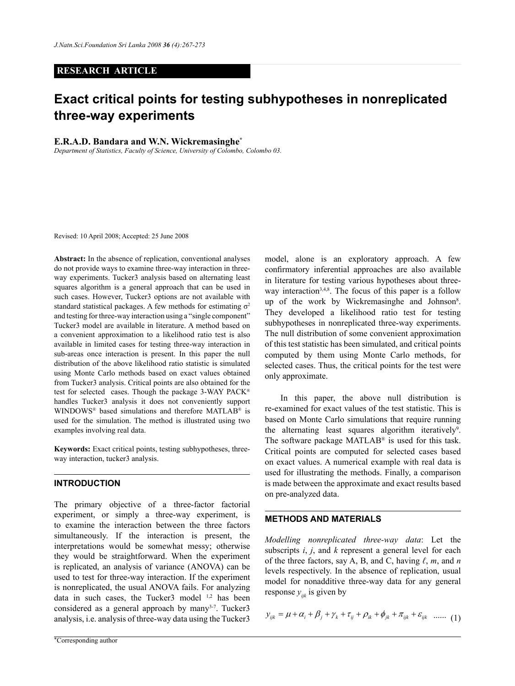## **RESEARCH ARTICLE**

# **Exact critical points for testing subhypotheses in nonreplicated three-way experiments**

#### **E.R.A.D. Bandara and W.N. Wickremasinghe\***

*Department of Statistics, Faculty of Science, University of Colombo, Colombo 03.*

Revised: 10 April 2008; Accepted: 25 June 2008

**Abstract:** In the absence of replication, conventional analyses do not provide ways to examine three-way interaction in threeway experiments. Tucker3 analysis based on alternating least squares algorithm is a general approach that can be used in such cases. However, Tucker3 options are not available with standard statistical packages. A few methods for estimating  $\sigma^2$ and testing for three-way interaction using a "single component" Tucker3 model are available in literature. A method based on a convenient approximation to a likelihood ratio test is also available in limited cases for testing three-way interaction in sub-areas once interaction is present. In this paper the null distribution of the above likelihood ratio statistic is simulated using Monte Carlo methods based on exact values obtained from Tucker3 analysis. Critical points are also obtained for the test for selected cases. Though the package 3-WAY PACK® handles Tucker3 analysis it does not conveniently support WINDOWS® based simulations and therefore MATLAB® is used for the simulation. The method is illustrated using two examples involving real data.

**Keywords:** Exact critical points, testing subhypotheses, threeway interaction, tucker3 analysis.

## **INTRODUCTION**

The primary objective of a three-factor factorial experiment, or simply a three-way experiment, is to examine the interaction between the three factors simultaneously. If the interaction is present, the interpretations would be somewhat messy; otherwise they would be straightforward. When the experiment is replicated, an analysis of variance (ANOVA) can be used to test for three-way interaction. If the experiment is nonreplicated, the usual ANOVA fails. For analyzing data in such cases, the Tucker3 model <sup>1,2</sup> has been considered as a general approach by many<sup>3-7</sup>. Tucker3 analysis, i.e. analysis of three-way data using the Tucker3

model, alone is an exploratory approach. A few confirmatory inferential approaches are also available in literature for testing various hypotheses about threeway interaction<sup>3,4,8</sup>. The focus of this paper is a follow up of the work by Wickremasinghe and Johnson<sup>8</sup>. They developed a likelihood ratio test for testing subhypotheses in nonreplicated three-way experiments. The null distribution of some convenient approximation of this test statistic has been simulated, and critical points computed by them using Monte Carlo methods, for selected cases. Thus, the critical points for the test were only approximate.

In this paper, the above null distribution is re-examined for exact values of the test statistic. This is based on Monte Carlo simulations that require running the alternating least squares algorithm iteratively<sup>9</sup>. The software package MATLAB® is used for this task. Critical points are computed for selected cases based on exact values. A numerical example with real data is used for illustrating the methods. Finally, a comparison is made between the approximate and exact results based on pre-analyzed data.

## **METHODS AND MATERIALS**

*Modelling nonreplicated three-way data*: Let the subscripts *i*, *j*, and *k* represent a general level for each of the three factors, say A, B, and C, having *ℓ*, *m*, and *n* levels respectively. In the absence of replication, usual model for nonadditive three-way data for any general response  $y_{ijk}$  is given by

$$
y_{ijk} = \mu + \alpha_i + \beta_j + \gamma_k + \tau_{ij} + \rho_{ik} + \phi_{jk} + \pi_{ijk} + \varepsilon_{ijk} \quad ...... \quad (1)
$$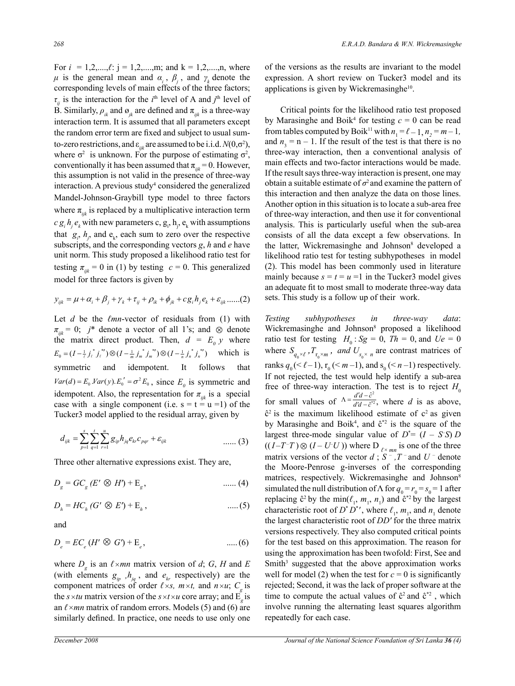For  $i = 1, 2, \dots, \ell$ :  $j = 1, 2, \dots, m$ ; and  $k = 1, 2, \dots, n$ , where *μ* is the general mean and  $α<sub>i</sub>$ ,  $β<sub>j</sub>$ , and  $γ<sub>k</sub>$  denote the corresponding levels of main effects of the three factors;  $\tau_{ij}$  is the interaction for the *i*<sup>th</sup> level of A and *j*<sup>th</sup> level of B. Similarly,  $\rho_{ik}$  and  $\sigma_{ik}$  are defined and  $\pi_{ijk}$  is a three-way interaction term. It is assumed that all parameters except the random error term are fixed and subject to usual sumto-zero restrictions, and  $\varepsilon_{ijk}$  are assumed to be i.i.d.  $N(0,\sigma^2)$ , where  $\sigma^2$  is unknown. For the purpose of estimating  $\sigma^2$ , conventionally it has been assumed that  $\pi_{ijk} = 0$ . However, this assumption is not valid in the presence of three-way interaction. A previous study<sup>4</sup> considered the generalized Mandel-Johnson-Graybill type model to three factors where  $\pi_{ijk}$  is replaced by a multiplicative interaction term  $c g_i h_j e_k$  with new parameters c,  $g_i$ ,  $h_j$ ,  $e_k$  with assumptions that  $g_i$ ,  $h_j$ , and  $e_k$ , each sum to zero over the respective subscripts, and the corresponding vectors *g*, *h* and *e* have unit norm. This study proposed a likelihood ratio test for testing  $\pi_{ijk} = 0$  in (1) by testing  $c = 0$ . This generalized model for three factors is given by

$$
y_{ijk} = \mu + \alpha_i + \beta_j + \gamma_k + \tau_{ij} + \rho_{ik} + \phi_{jk} + cg_i h_j e_k + \varepsilon_{ijk} \dots (2)
$$

Let *d* be the *ℓmn*-vector of residuals from (1) with  $\pi_{ijk} = 0$ ; *j*\* denote a vector of all 1's; and  $\otimes$  denote the matrix direct product. Then,  $d = E_0 y$  where  $E_0 = (I - \frac{1}{\ell} j_\ell^* j_\ell^*) \otimes (I - \frac{1}{m} j_m^* j_m^*) \otimes (I - \frac{1}{n} j_n^* j_n^*)$  which is symmetric and idempotent. It follows that  $Var(d) = E_0 \cdot Var(y) \cdot E_0' = \sigma^2 E_0$ , since  $E_0$  is symmetric and idempotent. Also, the representation for  $\pi_{ijk}$  is a special case with a single component (i.e.  $s = t = u = 1$ ) of the Tucker3 model applied to the residual array, given by

$$
d_{ijk} = \sum_{p=1}^{s} \sum_{q=1}^{t} \sum_{r=1}^{u} g_{ip} h_{jq} e_{kr} c_{pqr} + \varepsilon_{ijk}
$$
 ...... (3)

Three other alternative expressions exist. They are,

$$
D_g = GC_g (E' \otimes H') + \mathcal{E}_g, \qquad \qquad \dots \dots (4)
$$

$$
D_h = HC_h \left( G' \otimes E' \right) + \mathcal{E}_h, \qquad \qquad \dots (5)
$$

and

$$
D_e = EC_e (H' \otimes G) + \mathcal{E}_e, \tag{6}
$$

where  $D_g$  is an  $\ell \times mn$  matrix version of *d*; *G*, *H* and *E* (with elements  $g_{ip}$ ,  $h_{jq}$ , and  $e_{kr}$  respectively) are the component matrices of order  $\ell \times s$ ,  $m \times t$ , and  $n \times u$ ;  $C_q$  is the  $s \times tu$  matrix version of the  $s \times t \times u$  core array; and E<sub>g</sub> is an *ℓ×mn* matrix of random errors. Models (5) and (6) are similarly defined. In practice, one needs to use only one

of the versions as the results are invariant to the model expression. A short review on Tucker3 model and its applications is given by Wickremasinghe $10$ .

Critical points for the likelihood ratio test proposed by Marasinghe and Boik<sup>4</sup> for testing  $c = 0$  can be read from tables computed by Boik<sup>11</sup> with  $n_1 = \ell - 1$ ,  $n_2 = m - 1$ , and  $n_3 = n - 1$ . If the result of the test is that there is no three-way interaction, then a conventional analysis of main effects and two-factor interactions would be made. If the result says three-way interaction is present, one may obtain a suitable estimate of  $\sigma^2$  and examine the pattern of this interaction and then analyze the data on those lines. Another option in this situation is to locate a sub-area free of three-way interaction, and then use it for conventional analysis. This is particularly useful when the sub-area consists of all the data except a few observations. In the latter, Wickremasinghe and Johnson<sup>8</sup> developed a likelihood ratio test for testing subhypotheses in model (2). This model has been commonly used in literature mainly because  $s = t = u = 1$  in the Tucker3 model gives an adequate fit to most small to moderate three-way data sets. This study is a follow up of their work.

*Testing subhypotheses in three-way data*: Wickremasinghe and Johnson<sup>8</sup> proposed a likelihood ratio test for testing  $H_0$ : *Sg* = 0, *Th* = 0, and *Ue* = 0 where  $S_{q_0 \times \ell}$ ,  $T_{r_0 \times m}$ , and  $U_{s_0 \times n}$  are contrast matrices of ranks  $q_0 \leq \ell - 1$ ,  $r_0 \leq m - 1$ , and  $s_0 \leq n - 1$ ) respectively. If not rejected, the test would help identify a sub-area free of three-way interaction. The test is to reject  $H_0$ for small values of  $\Delta = \frac{d'd - \hat{c}^2}{d'd - \hat{c}^2}$  $\frac{\hat{c}^2}{\hat{c}^*2}$ ˆ *d'd – ĉ*  $\Lambda = \frac{d'd - \hat{c}^2}{d'd - \hat{c}^{*2}}$ , where *d* is as above,  $\hat{c}^2$  is the maximum likelihood estimate of  $c^2$  as given by Marasinghe and Boik<sup>4</sup>, and  $\hat{c}^*$ <sup>2</sup> is the square of the largest three-mode singular value of  $D^* = (I - S^T S) D$  $((I - T<sup>-T</sup>) \otimes (I - U<sup>-U</sup>)$  where D  $_{\ell \times mn}$  is one of the three matrix versions of the vector  $d$ ;  $S^-$ ,  $T^-$  and  $U^-$  denote the Moore-Penrose g-inverses of the corresponding matrices, respectively. Wickremasinghe and Johnson<sup>8</sup> simulated the null distribution of Λ for  $q_0 = r_0 = s_0 = 1$  after replacing  $\hat{c}^2$  by the min( $\ell_1$ ,  $m_1$ ,  $n_1$ ) and  $\hat{c}^{*2}$  by the largest characteristic root of  $D^*D^*$ , where  $\ell_1$ ,  $m_1$ , and  $n_1$  denote the largest characteristic root of *DD'* for the three matrix versions respectively. They also computed critical points for the test based on this approximation. The reason for using the approximation has been twofold: First, See and Smith<sup>3</sup> suggested that the above approximation works well for model (2) when the test for  $c = 0$  is significantly rejected; Second, it was the lack of proper software at the time to compute the actual values of  $\hat{c}^2$  and  $\hat{c}^{*2}$ , which involve running the alternating least squares algorithm repeatedly for each case.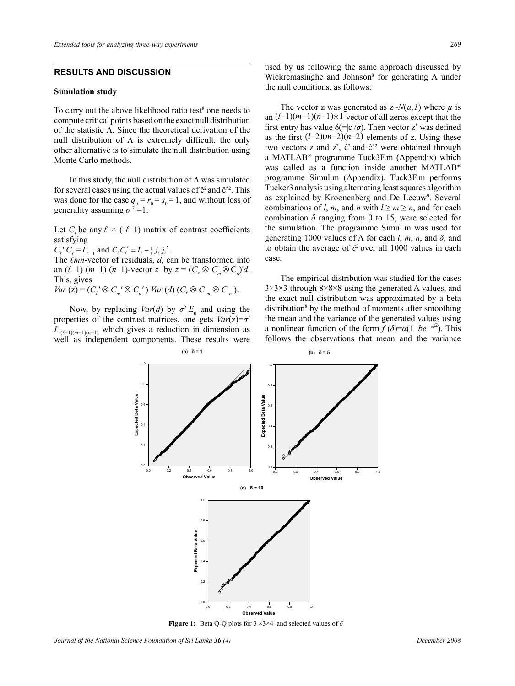## **RESULTS AND DISCUSSION**

#### **Simulation study**

To carry out the above likelihood ratio test $\delta$  one needs to compute critical points based on the exact null distribution of the statistic Λ. Since the theoretical derivation of the null distribution of  $\Lambda$  is extremely difficult, the only other alternative is to simulate the null distribution using Monte Carlo methods.

In this study, the null distribution of  $\Lambda$  was simulated for several cases using the actual values of  $\hat{c}^2$  and  $\hat{c}^*$ <sup>2</sup>. This was done for the case  $q_0 = r_0 = s_0 = 1$ , and without loss of generality assuming  $\sigma^2 = 1$ .

Let  $C_i$ , be any  $\ell \times (l-1)$  matrix of contrast coefficients satisfying

 $C_{\ell}$ <sup>'</sup>  $C_{\ell} = I_{\ell-1}$  and  $C_{\ell} C_{\ell}^{'} = I_{\ell} - \frac{1}{\ell} j_{\ell} j_{\ell}^{'}$ .<br>The *ℓmn*-vector of residuals, *d*, can be transformed into an  $(\ell-1)$   $(m-1)$   $(n-1)$ -vector *z* by  $z = (C_{\ell} \otimes C_{m} \otimes C_{n})'d$ . This, gives

*Var* (z) =  $(C_{\ell} \otimes C_{m} \otimes C_{n}')$  *Var* (*d*)  $(C_{\ell} \otimes C_{m} \otimes C_{n})$ .

Now, by replacing *Var*(*d*) by  $\sigma^2 E_0$  and using the properties of the contrast matrices, one gets  $Var(z) = \sigma^2$ *I*  $(\ell-1)(m-1)(n-1)$  which gives a reduction in dimension as well as independent components. These results were

used by us following the same approach discussed by Wickremasinghe and Johnson<sup>8</sup> for generating  $\Lambda$  under the null conditions, as follows:

The vector z was generated as  $z \sim N(\mu, I)$  where  $\mu$  is an (*l*−1)(*m*−1)(*n*−1)×1 vector of all zeros except that the first entry has value  $\delta (=|c|/\sigma)$ . Then vector z<sup>\*</sup> was defined as the first (*l*−2)(*m*−2)(*n*−2) elements of z. Using these two vectors z and  $z^*$ ,  $\hat{c}^2$  and  $\hat{c}^{*2}$  were obtained through a MATLAB® programme Tuck3F.m (Appendix) which was called as a function inside another MATLAB® programme Simul.m (Appendix). Tuck3F.m performs Tucker3 analysis using alternating least squares algorithm as explained by Kroonenberg and De Leeuw<sup>9</sup>. Several combinations of *l*, *m*, and *n* with  $l \ge m \ge n$ , and for each combination  $\delta$  ranging from 0 to 15, were selected for the simulation. The programme Simul.m was used for generating 1000 values of  $Λ$  for each *l*, *m*, *n*, and  $δ$ , and to obtain the average of *ĉ*2 over all 1000 values in each case.

The empirical distribution was studied for the cases  $3\times3\times3$  through  $8\times8\times8$  using the generated  $\Lambda$  values, and the exact null distribution was approximated by a beta distribution<sup>8</sup> by the method of moments after smoothing the mean and the variance of the generated values using a nonlinear function of the form  $\overline{f}(\delta) = \alpha(1 - be^{-\alpha^2})$ . This follows the observations that mean and the variance



**Figure 1:** Beta Q-Q plots for 3 ×3×4 and selected values of *δ*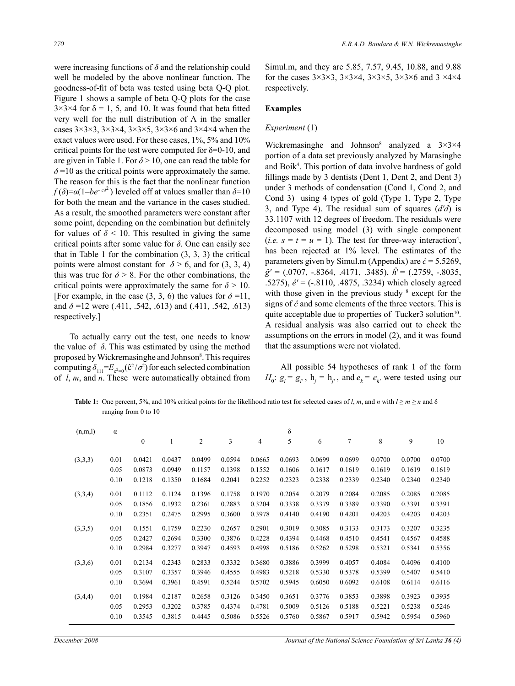were increasing functions of *δ* and the relationship could well be modeled by the above nonlinear function. The goodness-of-fit of beta was tested using beta Q-Q plot. Figure 1 shows a sample of beta Q-Q plots for the case  $3\times3\times4$  for  $\delta = 1, 5$ , and 10. It was found that beta fitted very well for the null distribution of  $\Lambda$  in the smaller cases  $3\times3\times3$ ,  $3\times3\times4$ ,  $3\times3\times5$ ,  $3\times3\times6$  and  $3\times4\times4$  when the exact values were used. For these cases, 1%, 5% and 10% critical points for the test were computed for  $\delta = 0$ -10, and are given in Table 1. For  $\delta$  > 10, one can read the table for  $\delta$ =10 as the critical points were approximately the same. The reason for this is the fact that the nonlinear function  $f(\delta) = \alpha(1 - be^{-\alpha\delta^2})$  leveled off at values smaller than  $\delta = 10$ for both the mean and the variance in the cases studied. As a result, the smoothed parameters were constant after some point, depending on the combination but definitely for values of  $\delta$  < 10. This resulted in giving the same critical points after some value for *δ*. One can easily see that in Table 1 for the combination  $(3, 3, 3)$  the critical points were almost constant for  $\delta$  > 6, and for (3, 3, 4) this was true for  $\delta$  > 8. For the other combinations, the critical points were approximately the same for  $\delta$  > 10. [For example, in the case  $(3, 3, 6)$  the values for  $\delta = 11$ , and *δ* =12 were (.411, .542, .613) and (.411, .542, .613) respectively.]

To actually carry out the test, one needs to know the value of  $\delta$ . This was estimated by using the method proposed by Wickremasinghe and Johnson<sup>8</sup>. This requires computing  $\delta_{111} = E_{c^2=0} (\hat{c}^2 / \sigma^2)$  for each selected combination of *l*, *m*, and *n*. These were automatically obtained from

Simul.m, and they are 5.85, 7.57, 9.45, 10.88, and 9.88 for the cases  $3\times3\times3$ ,  $3\times3\times4$ ,  $3\times3\times5$ ,  $3\times3\times6$  and  $3\times4\times4$ respectively.

## **Examples**

#### *Experiment* (1)

Wickremasinghe and Johnson<sup>8</sup> analyzed a  $3\times3\times4$ portion of a data set previously analyzed by Marasinghe and Boik4 . This portion of data involve hardness of gold fillings made by 3 dentists (Dent 1, Dent 2, and Dent 3) under 3 methods of condensation (Cond 1, Cond 2, and Cond 3) using 4 types of gold (Type 1, Type 2, Type 3, and Type 4). The residual sum of squares (*d'd*) is 33.1107 with 12 degrees of freedom. The residuals were decomposed using model (3) with single component  $(i.e. s = t = u = 1)$ . The test for three-way interaction<sup>4</sup>, has been rejected at 1% level. The estimates of the parameters given by Simul.m (Appendix) are *ĉ* = 5.5269, *ĝ'* = (.0707, -.8364, .4171, .3485), *ĥ*' = (.2759, -.8035, .5275), *ê'* = (-.8110, .4875, .3234) which closely agreed with those given in the previous study  $\frac{8}{3}$  except for the signs of *ĉ* and some elements of the three vectors. This is quite acceptable due to properties of Tucker3 solution<sup>10</sup>. A residual analysis was also carried out to check the assumptions on the errors in model (2), and it was found that the assumptions were not violated.

All possible 54 hypotheses of rank 1 of the form  $H_0: g_i = g_i, h_j = h_j$ , and  $e_k = e_k$  were tested using our

**Table 1:** One percent, 5%, and 10% critical points for the likelihood ratio test for selected cases of *l*, *m*, and *n* with  $l \ge m \ge n$  and  $\delta$ ranging from 0 to 10

| (n,m,l) | $\alpha$ |                  |        |                |        |        | $\delta$ |        |        |        |        |        |
|---------|----------|------------------|--------|----------------|--------|--------|----------|--------|--------|--------|--------|--------|
|         |          | $\boldsymbol{0}$ | 1      | $\overline{c}$ | 3      | 4      | 5        | 6      | 7      | 8      | 9      | 10     |
| (3,3,3) | 0.01     | 0.0421           | 0.0437 | 0.0499         | 0.0594 | 0.0665 | 0.0693   | 0.0699 | 0.0699 | 0.0700 | 0.0700 | 0.0700 |
|         | 0.05     | 0.0873           | 0.0949 | 0.1157         | 0.1398 | 0.1552 | 0.1606   | 0.1617 | 0.1619 | 0.1619 | 0.1619 | 0.1619 |
|         | 0.10     | 0.1218           | 0.1350 | 0.1684         | 0.2041 | 0.2252 | 0.2323   | 0.2338 | 0.2339 | 0.2340 | 0.2340 | 0.2340 |
| (3,3,4) | 0.01     | 0.1112           | 0.1124 | 0.1396         | 0.1758 | 0.1970 | 0.2054   | 0.2079 | 0.2084 | 0.2085 | 0.2085 | 0.2085 |
|         | 0.05     | 0.1856           | 0.1932 | 0.2361         | 0.2883 | 0.3204 | 0.3338   | 0.3379 | 0.3389 | 0.3390 | 0.3391 | 0.3391 |
|         | 0.10     | 0.2351           | 0.2475 | 0.2995         | 0.3600 | 0.3978 | 0.4140   | 0.4190 | 0.4201 | 0.4203 | 0.4203 | 0.4203 |
| (3,3,5) | 0.01     | 0.1551           | 0.1759 | 0.2230         | 0.2657 | 0.2901 | 0.3019   | 0.3085 | 0.3133 | 0.3173 | 0.3207 | 0.3235 |
|         | 0.05     | 0.2427           | 0.2694 | 0.3300         | 0.3876 | 0.4228 | 0.4394   | 0.4468 | 0.4510 | 0.4541 | 0.4567 | 0.4588 |
|         | 0.10     | 0.2984           | 0.3277 | 0.3947         | 0.4593 | 0.4998 | 0.5186   | 0.5262 | 0.5298 | 0.5321 | 0.5341 | 0.5356 |
| (3,3,6) | 0.01     | 0.2134           | 0.2343 | 0.2833         | 0.3332 | 0.3680 | 0.3886   | 0.3999 | 0.4057 | 0.4084 | 0.4096 | 0.4100 |
|         | 0.05     | 0.3107           | 0.3357 | 0.3946         | 0.4555 | 0.4983 | 0.5218   | 0.5330 | 0.5378 | 0.5399 | 0.5407 | 0.5410 |
|         | 0.10     | 0.3694           | 0.3961 | 0.4591         | 0.5244 | 0.5702 | 0.5945   | 0.6050 | 0.6092 | 0.6108 | 0.6114 | 0.6116 |
| (3,4,4) | 0.01     | 0.1984           | 0.2187 | 0.2658         | 0.3126 | 0.3450 | 0.3651   | 0.3776 | 0.3853 | 0.3898 | 0.3923 | 0.3935 |
|         | 0.05     | 0.2953           | 0.3202 | 0.3785         | 0.4374 | 0.4781 | 0.5009   | 0.5126 | 0.5188 | 0.5221 | 0.5238 | 0.5246 |
|         | 0.10     | 0.3545           | 0.3815 | 0.4445         | 0.5086 | 0.5526 | 0.5760   | 0.5867 | 0.5917 | 0.5942 | 0.5954 | 0.5960 |

*December 2008 Journal of the National Science Foundation of Sri Lanka 36 (4)*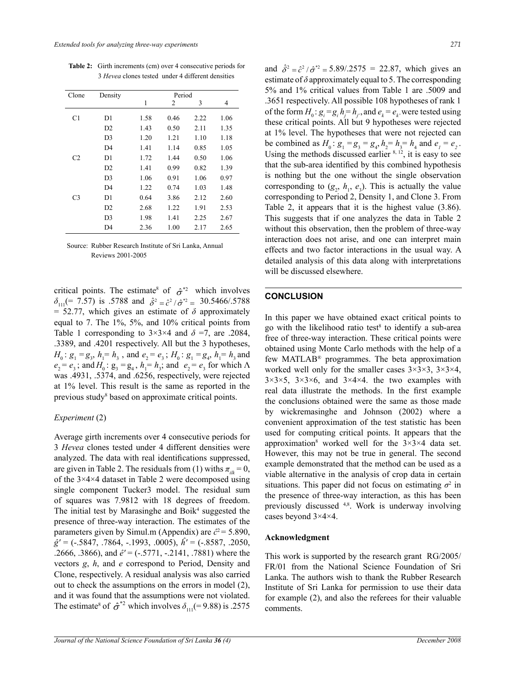**Table 2:** Girth increments (cm) over 4 consecutive periods for 3 *Hevea* clones tested under 4 different densities

| Clone          | Density        | Period |      |      |      |  |  |  |
|----------------|----------------|--------|------|------|------|--|--|--|
|                |                | 1      | 2    | 3    | 4    |  |  |  |
| C1             | D <sub>1</sub> | 1.58   | 0.46 | 2.22 | 1.06 |  |  |  |
|                | D2             | 1.43   | 0.50 | 2.11 | 1.35 |  |  |  |
|                | D <sub>3</sub> | 1.20   | 1.21 | 1.10 | 1.18 |  |  |  |
|                | D <sub>4</sub> | 1.41   | 1.14 | 0.85 | 1.05 |  |  |  |
| C <sub>2</sub> | D1             | 1.72   | 1.44 | 0.50 | 1.06 |  |  |  |
|                | D2             | 1.41   | 0.99 | 0.82 | 1.39 |  |  |  |
|                | D <sub>3</sub> | 1.06   | 0.91 | 1.06 | 0.97 |  |  |  |
|                | D <sub>4</sub> | 1.22   | 0.74 | 1.03 | 1.48 |  |  |  |
| C <sub>3</sub> | D1             | 0.64   | 3.86 | 2.12 | 2.60 |  |  |  |
|                | D2             | 2.68   | 1.22 | 1.91 | 2.53 |  |  |  |
|                | D <sub>3</sub> | 1.98   | 1.41 | 2.25 | 2.67 |  |  |  |
|                | D4             | 2.36   | 1.00 | 2.17 | 2.65 |  |  |  |

Source: Rubber Research Institute of Sri Lanka, Annual Reviews 2001-2005

critical points. The estimate<sup>8</sup> of  $\hat{\sigma}^{*2}$  which involves  $\delta_{111}$ (= 7.57) is .5788 and  $\hat{\delta}^2 = \hat{c}^2/\hat{\sigma}^{*2} = 30.5466/0.5788$  $= 52.77$ , which gives an estimate of  $\delta$  approximately equal to 7. The 1%, 5%, and 10% critical points from Table 1 corresponding to  $3 \times 3 \times 4$  and  $\delta = 7$ , are .2084, .3389, and .4201 respectively. All but the 3 hypotheses,  $H_0: g_1 = g_3$ ,  $h_1 = h_3$ , and  $e_2 = e_3$ ;  $H_0: g_1 = g_4$ ,  $h_1 = h_3$  and  $e_2 = e_3$ ; and  $H_0$ :  $g_3 = g_4$ ,  $h_1 = h_3$ ; and  $e_2 = e_3$  for which  $\Lambda$ was .4931, .5374, and .6256, respectively, were rejected at 1% level. This result is the same as reported in the previous study<sup>8</sup> based on approximate critical points.

#### *Experiment* (2)

Average girth increments over 4 consecutive periods for 3 *Hevea* clones tested under 4 different densities were analyzed. The data with real identifications suppressed, are given in Table 2. The residuals from (1) withs  $\pi_{ik} = 0$ , of the 3×4×4 dataset in Table 2 were decomposed using single component Tucker3 model. The residual sum of squares was 7.9812 with 18 degrees of freedom. The initial test by Marasinghe and Boik $4$  suggested the presence of three-way interaction. The estimates of the parameters given by Simul.m (Appendix) are  $\hat{c}^2$  = 5.890, *ĝ'* = (-.5847, .7864, -.1993, .0005), *ĥ'* = (-.8587, .2050, .2666, .3866), and *ê'* = (-.5771, -.2141, .7881) where the vectors *g*, *h*, and *e* correspond to Period, Density and Clone, respectively. A residual analysis was also carried out to check the assumptions on the errors in model (2), and it was found that the assumptions were not violated. The estimate<sup>8</sup> of  $\hat{\sigma}^{*2}$  which involves  $\delta_{111}$ (= 9.88) is .2575 and  $\hat{\delta}^2 = \hat{c}^2 / \hat{\sigma}^{*2} = 5.89 / .2575 = 22.87$ , which gives an estimate of  $\delta$  approximately equal to 5. The corresponding 5% and 1% critical values from Table 1 are .5009 and .3651 respectively. All possible 108 hypotheses of rank 1 of the form  $H_0: g_i = g_i h_j = h_j$ , and  $e_k = e_k$ , were tested using these critical points. All but 9 hypotheses were rejected at 1% level. The hypotheses that were not rejected can be combined as  $H_0: g_1 = g_3 = g_4$ ,  $h_2 = h_3 = h_4$  and  $e_1 = e_2$ . Using the methods discussed earlier  $8, 12$ , it is easy to see that the sub-area identified by this combined hypothesis is nothing but the one without the single observation corresponding to  $(g_2, h_1, e_3)$ . This is actually the value corresponding to Period 2, Density 1, and Clone 3. From Table 2, it appears that it is the highest value (3.86). This suggests that if one analyzes the data in Table 2 without this observation, then the problem of three-way interaction does not arise, and one can interpret main effects and two factor interactions in the usual way. A detailed analysis of this data along with interpretations

#### **CONCLUSION**

will be discussed elsewhere.

In this paper we have obtained exact critical points to go with the likelihood ratio test<sup>8</sup> to identify a sub-area free of three-way interaction. These critical points were obtained using Monte Carlo methods with the help of a few MATLAB® programmes. The beta approximation worked well only for the smaller cases  $3\times3\times3$ ,  $3\times3\times4$ ,  $3\times3\times5$ ,  $3\times3\times6$ , and  $3\times4\times4$ . the two examples with real data illustrate the methods. In the first example the conclusions obtained were the same as those made by wickremasinghe and Johnson (2002) where a convenient approximation of the test statistic has been used for computing critical points. It appears that the approximation<sup>8</sup> worked well for the  $3\times3\times4$  data set. However, this may not be true in general. The second example demonstrated that the method can be used as a viable alternative in the analysis of crop data in certain situations. This paper did not focus on estimating  $\sigma^2$  in the presence of three-way interaction, as this has been previously discussed 4,8. Work is underway involving cases beyond 3×4×4.

#### **Acknowledgment**

This work is supported by the research grant RG/2005/ FR/01 from the National Science Foundation of Sri Lanka. The authors wish to thank the Rubber Research Institute of Sri Lanka for permission to use their data for example (2), and also the referees for their valuable comments.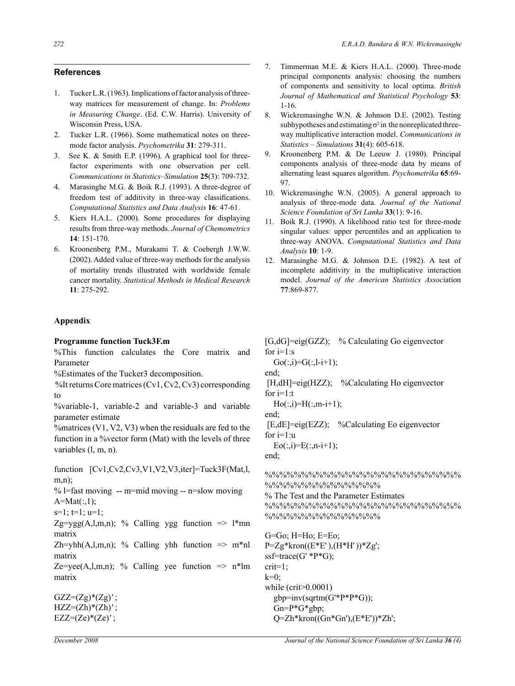## **References**

- 1. Tucker L.R. (1963). Implications of factor analysis of threeway matrices for measurement of change. In: *Problems in Measuring Change*. (Ed. C.W. Harris). University of Wisconsin Press, USA.
- 2. Tucker L.R. (1966). Some mathematical notes on threemode factor analysis. *Psychometrika* **31**: 279-311.
- 3. See K. & Smith E.P. (1996). A graphical tool for threefactor experiments with one observation per cell. *Communications in Statistics–Simulation* **25**(3): 709-732.
- 4. Marasinghe M.G. & Boik R.J. (1993). A three-degree of freedom test of additivity in three-way classifications. *Computational Statistics and Data Analysis* **16**: 47-61.
- 5. Kiers H.A.L. (2000). Some procedures for displaying results from three-way methods. *Journal of Chemometrics* **14**: 151-170.
- 6. Kroonenberg P.M., Murakami T. & Coebergh J.W.W. (2002). Added value of three-way methods for the analysis of mortality trends illustrated with worldwide female cancer mortality. *Statistical Methods in Medical Research*  **11**: 275-292.

#### **Appendix**

#### **Programme function Tuck3F.m**

%This function calculates the Core matrix and Parameter

%Estimates of the Tucker3 decomposition.

 %It returns Core matrices (Cv1, Cv2, Cv3) corresponding to

%variable-1, variable-2 and variable-3 and variable parameter estimate

%matrices (V1, V2, V3) when the residuals are fed to the function in a %vector form (Mat) with the levels of three variables (l, m, n).

function [Cv1,Cv2,Cv3,V1,V2,V3,iter]=Tuck3F(Mat,l, m,n);

% l=fast moving  $-$  m=mid moving  $-$  n=slow moving  $A=Mat(:,1);$ 

 $s=1$ ;  $t=1$ ;  $u=1$ ;

Zg=ygg(A,l,m,n); % Calling ygg function  $\Rightarrow$  1\*mn matrix

Zh=yhh(A,l,m,n); % Calling yhh function  $\Rightarrow$  m\*nl matrix

Ze=yee(A,l,m,n); % Calling yee function  $\Rightarrow$  n\*lm matrix

 $GZZ=(Zg)*(Zg)';$ HZZ=(Zh)\*(Zh)*'* ;  $EZZ=(Ze)^*(Ze)'$ ;

- 7. Timmerman M.E. & Kiers H.A.L. (2000). Three-mode principal components analysis: choosing the numbers of components and sensitivity to local optima. *British Journal of Mathematical and Statistical Psychology* **53**: 1-16.
- 8. Wickremasinghe W.N. & Johnson D.E. (2002). Testing subhypotheses and estimating  $\sigma^2$  in the nonreplicated threeway multiplicative interaction model. *Communications in Statistics – Simulations* **31**(4): 605-618.
- 9. Kroonenberg P.M. & De Leeuw J. (1980). Principal components analysis of three-mode data by means of alternating least squares algorithm. *Psychometrika* **65**:69- 97.
- 10. Wickremasinghe W.N. (2005). A general approach to analysis of three-mode data. *Journal of the National Science Foundation of Sri Lanka* **33**(1): 9-16.
- 11. Boik R.J. (1990). A likelihood ratio test for three-mode singular values: upper percentiles and an application to three-way ANOVA. *Computational Statistics and Data Analysis* **10**: 1-9.
- 12. Marasinghe M.G. & Johnson D.E. (1982). A test of incomplete additivity in the multiplicative interaction model. *Journal of the American Statistics Assoc*iation **77**:869-877.

[G,dG]=eig(GZZ); % Calculating Go eigenvector for  $i=1:s$ 

 $Go(:,i)=G(:,l-i+1);$ 

end;

[H,dH]=eig(HZZ); %Calculating Ho eigenvector for  $i=1:t$ 

 $Ho(:,i)=H(:,m-i+1);$ 

end;

 [E,dE]=eig(EZZ); %Calculating Eo eigenvector for  $i=1:u$ 

 $Eo(:,i)=E(:,n-i+1);$ 

end;

%%%%%%%%%%%%%%%%%%%%%%%%%%% %%%%%%%%%%%%%%%%

% The Test and the Parameter Estimates %%%%%%%%%%%%%%%%%%%%%%%%%%% %%%%%%%%%%%%%%%%%%

G=Go; H=Ho; E=Eo;  $P=Zg*kron((E*E'),(H*H'))*Zg';$ ssf=trace(G' \*P\*G); crit=1;  $k=0$ ; while (crit>0.0001) gbp=inv(sqrtm(G'\*P\*P\*G)); Gn=P\*G\*gbp; Q=Zh\*kron((Gn\*Gn'),(E\*E'))\*Zh';